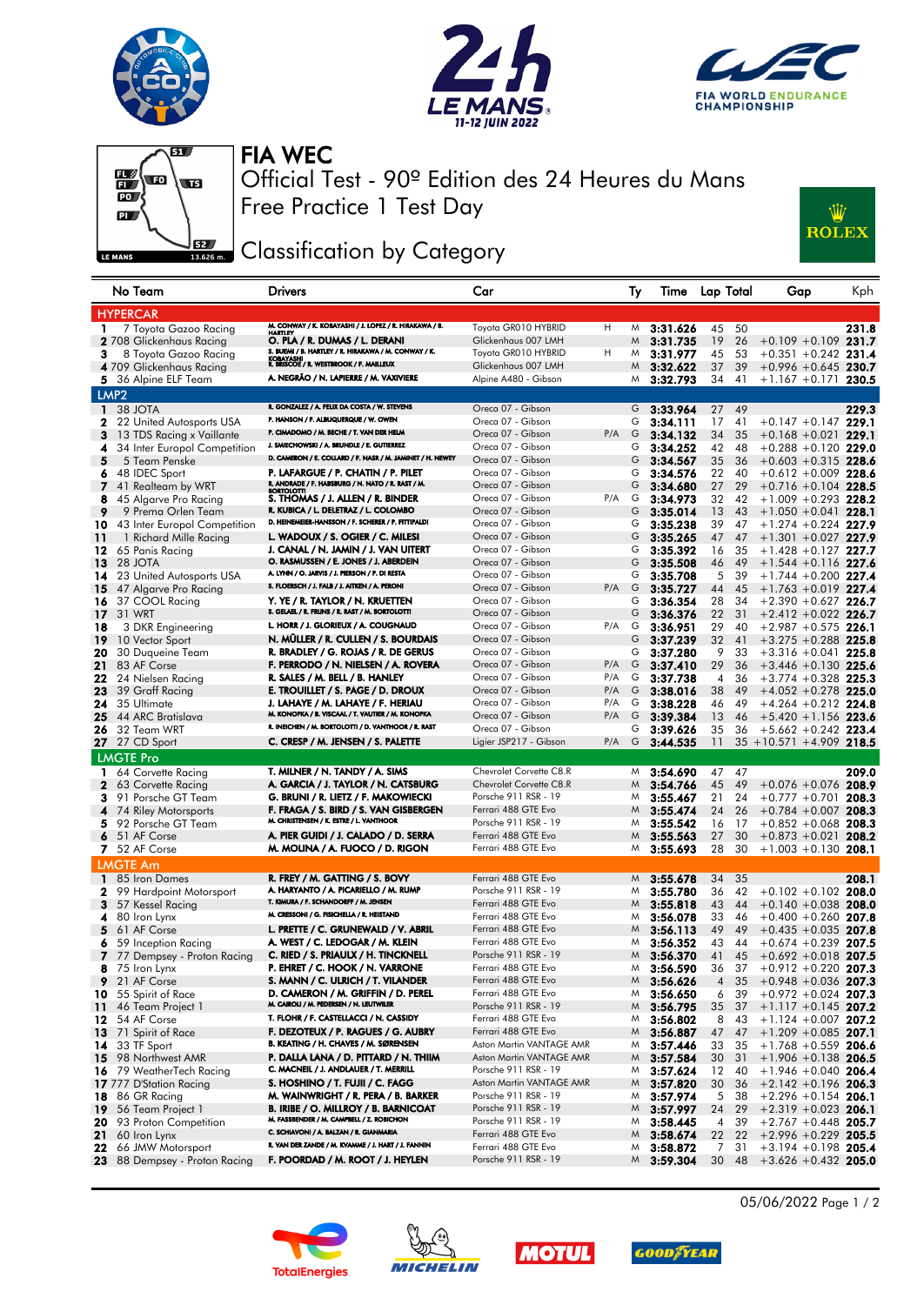





## FIA WEC



Free Practice 1 Test Day Official Test - 90º Edition des 24 Heures du Mans

## Classification by Category



|              | No Team                                       | <b>Drivers</b>                                                                         | Car                                         |            | Ty     | Time                 | Lap Total      |          | Gap                                              | Kph   |
|--------------|-----------------------------------------------|----------------------------------------------------------------------------------------|---------------------------------------------|------------|--------|----------------------|----------------|----------|--------------------------------------------------|-------|
|              | <b>HYPERCAR</b>                               |                                                                                        |                                             |            |        |                      |                |          |                                                  |       |
| 1            | 7 Toyota Gazoo Racing                         | M. CONWAY / K. KOBAYASHI / J. LOPEZ / R. HIRAKAWA / B.<br>HARTLEY                      | Toyota GR010 HYBRID                         | H          | M      | 3:31.626             | 45             | 50       |                                                  | 231.8 |
|              | <b>2</b> 708 Glickenhaus Racing               | O. PLA / R. DUMAS / L. DERANI<br>S. BUEMI / B. HARTLEY / R. HIRAKAWA / M. CONWAY / K.  | Glickenhaus 007 LMH                         |            | M      | 3:31.735             | 19             | 26       | $+0.109 + 0.109$ 231.7                           |       |
| 3            | 8 Toyota Gazoo Racing                         | KOBAYASHI<br>R. BRISCOE / R. WESTBROOK / F. MAILLEUX                                   | Toyota GR010 HYBRID                         | н          | M      | 3:31.977             | 45             | 53       | $+0.351 + 0.242$ 231.4                           |       |
|              | 4 709 Glickenhaus Racing                      | A. NEGRÃO / N. LAPIERRE / M. VAXIVIERE                                                 | Glickenhaus 007 LMH                         |            | M      | 3:32.622             | 37             | 39       | $+0.996 + 0.645$ 230.7                           |       |
|              | 5 36 Alpine ELF Team                          |                                                                                        | Alpine A480 - Gibson                        |            | M      | 3:32.793             | 34             | 41       | $+1.167 +0.171$ 230.5                            |       |
|              | LMP <sub>2</sub>                              |                                                                                        |                                             |            |        |                      |                |          |                                                  |       |
| $\mathbf{1}$ | 38 JOTA                                       | R. GONZALEZ / A. FELIX DA COSTA / W. STEVENS<br>P. HANSON / F. ALBUQUERQUE / W. OWEN   | Oreca 07 - Gibson                           |            | G      | 3:33.964             | 27             | 49       |                                                  | 229.3 |
| 2            | 22 United Autosports USA                      | P. CIMADOMO / M. BECHE / T. VAN DER HELM                                               | Oreca 07 - Gibson                           |            | G      | 3:34.111             | 17             | 41       | $+0.147 +0.147$ 229.1                            |       |
| 3            | 13 TDS Racing x Vaillante                     | J. SMIECHOWSKI / A. BRUNDLE / E. GUTIERREZ                                             | Oreca 07 - Gibson<br>Oreca 07 - Gibson      | P/A        | G      | 3:34.132             | 34             | 35       | $+0.168 + 0.021$ 229.1                           |       |
| 4<br>5       | 34 Inter Europol Competition<br>5 Team Penske | D. CAMERON / E. COLLARD / F. NASR / M. JAMINET / H. NEWEY                              | Oreca 07 - Gibson                           |            | G<br>G | 3:34.252             | 42             | 48<br>36 | $+0.288 + 0.120$ 229.0<br>$+0.603 + 0.315$ 228.6 |       |
| 6            | 48 IDEC Sport                                 | P. LAFARGUE / P. CHATIN / P. PILET                                                     | Oreca 07 - Gibson                           |            | G      | 3:34.567<br>3:34.576 | 35<br>22       | 40       | $+0.612 + 0.009$ 228.6                           |       |
| 7            | 41 Realteam by WRT                            | R. ANDRADE / F. HABSBURG / N. NATO / R. RAST / M.<br>BORTOLOTTI                        | Oreca 07 - Gibson                           |            | G      | 3:34.680             | 27             | 29       | $+0.716 + 0.104$ 228.5                           |       |
| 8            | 45 Algarve Pro Racing                         | S. THOMAS / J. ALLEN / R. BINDER                                                       | Oreca 07 - Gibson                           | P/A        | G      | 3:34.973             | 32             | 42       | $+1.009 + 0.293$ 228.2                           |       |
| 9            | 9 Prema Orlen Team                            | R. KUBICA / L. DELETRAZ / L. COLOMBO                                                   | Oreca 07 - Gibson                           |            | G      | 3:35.014             | 13             | 43       | $+1.050 + 0.041$ 228.1                           |       |
| 10           | 43 Inter Europol Competition                  | D. HEINEMEIER-HANSSON / F. SCHERER / P. FITTIPALDI                                     | Oreca 07 - Gibson                           |            | G      | 3:35.238             | 39             | 47       | $+1.274 + 0.224$ 227.9                           |       |
| 11           | 1 Richard Mille Racing                        | L. WADOUX / S. OGIER / C. MILESI                                                       | Oreca 07 - Gibson                           |            | G      | 3:35.265             | 47             | 47       | $+1.301 + 0.027$ 227.9                           |       |
| 12           | 65 Panis Racing                               | J. CANAL / N. JAMIN / J. VAN UITERT                                                    | Oreca 07 - Gibson                           |            | G      | 3:35.392             | 16             | 35       | $+1.428 +0.127$ 227.7                            |       |
| 13           | 28 JOTA                                       | O. RASMUSSEN / E. JONES / J. ABERDEIN                                                  | Oreca 07 - Gibson                           |            | G      | 3:35.508             | 46             | 49       | $+1.544 + 0.116$ 227.6                           |       |
| 14           | 23 United Autosports USA                      | A. LYNN / O. JARVIS / J. PIERSON / P. DI RESTA                                         | Oreca 07 - Gibson                           |            | G      | 3:35.708             | 5              | 39       | $+1.744 + 0.200$ 227.4                           |       |
| 15           | 47 Algarve Pro Racing                         | S. FLOERSCH / J. FALB / J. AITKEN / A. PERONI                                          | Oreca 07 - Gibson                           | P/A        | G      | 3:35.727             | 44             | 45       | $+1.763 +0.019$ 227.4                            |       |
| 16           | 37 COOL Racing                                | Y. YE / R. TAYLOR / N. KRUETTEN                                                        | Oreca 07 - Gibson                           |            | G      | 3:36.354             | 28             | 34       | $+2.390 +0.627$ 226.7                            |       |
| 17           | 31 WRT                                        | S. GELAEL / R. FRIJNS / R. RAST / M. BORTOLOTTI                                        | Oreca 07 - Gibson                           |            | G      | 3:36.376             | 22             | 31       | $+2.412 +0.022$ 226.7                            |       |
| 18           | 3 DKR Engineering                             | L. HORR / J. GLORIEUX / A. COUGNAUD                                                    | Oreca 07 - Gibson                           | P/A        | G      | 3:36.951             | 29             | 40       | $+2.987 +0.575$ 226.1                            |       |
| 19           | 10 Vector Sport                               | N. MÜLLER / R. CULLEN / S. BOURDAIS                                                    | Oreca 07 - Gibson                           |            | G      | 3:37.239             | 32             | 41       | $+3.275 +0.288$ 225.8                            |       |
| 20           | 30 Duqueine Team                              | R. BRADLEY / G. ROJAS / R. DE GERUS                                                    | Oreca 07 - Gibson                           |            | G      | 3:37.280             | 9              | 33       | $+3.316 + 0.041$ 225.8                           |       |
| 21           | 83 AF Corse                                   | F. PERRODO / N. NIELSEN / A. ROVERA                                                    | Oreca 07 - Gibson                           | P/A        | G      | 3:37.410             | 29             | 36       | $+3.446 + 0.130$ 225.6                           |       |
| 22           | 24 Nielsen Racing                             | R. SALES / M. BELL / B. HANLEY                                                         | Oreca 07 - Gibson                           | P/A        | G      | 3:37.738             | 4              | 36       | $+3.774 + 0.328$ 225.3                           |       |
| 23           | 39 Graff Racing                               | E. TROUILLET / S. PAGE / D. DROUX                                                      | Oreca 07 - Gibson<br>Oreca 07 - Gibson      | P/A<br>P/A | G      | 3:38.016             | 38             | 49       | $+4.052 + 0.278$ 225.0                           |       |
| 24<br>25     | 35 Ultimate                                   | J. LAHAYE / M. LAHAYE / F. HERIAU<br>M. KONOPKA / B. VISCAAL / T. VAUTIER / M. KONOPKA | Oreca 07 - Gibson                           | P/A        | G<br>G | 3:38.228<br>3:39.384 | 46             | 49       | $+4.264 + 0.212$ 224.8                           |       |
| 26           | 44 ARC Bratislava<br>32 Team WRT              | R. INEICHEN / M. BORTOLOTTI / D. VANTHOOR / R. RAST                                    | Oreca 07 - Gibson                           |            | G      | 3:39.626             | 13<br>35       | 46<br>36 | $+5.420 + 1.156$ 223.6<br>$+5.662 +0.242$ 223.4  |       |
| 27           | 27 CD Sport                                   | C. CRESP / M. JENSEN / S. PALETTE                                                      | Ligier JSP217 - Gibson                      | P/A        | G      | 3:44.535             | 11             | 35       | $+10.571 + 4.909$ 218.5                          |       |
|              |                                               |                                                                                        |                                             |            |        |                      |                |          |                                                  |       |
|              | <b>LMGTE Pro</b>                              | T. MILNER / N. TANDY / A. SIMS                                                         | Chevrolet Corvette C8.R                     |            | M      | 3:54.690             |                | 47       |                                                  | 209.0 |
| 2            | 1 64 Corvette Racing<br>63 Corvette Racing    | A. GARCIA / J. TAYLOR / N. CATSBURG                                                    | Chevrolet Corvette C8.R                     |            | M      | 3:54.766             | 47<br>45       | 49       | $+0.076 + 0.076$ 208.9                           |       |
| 3            | 91 Porsche GT Team                            | G. BRUNI / R. LIETZ / F. MAKOWIECKI                                                    | Porsche 911 RSR - 19                        |            | M      | 3:55.467             | 21             | 24       | $+0.777 +0.701$                                  | 208.3 |
| 4            | 74 Riley Motorsports                          | F. FRAGA / S. BIRD / S. VAN GISBERGEN                                                  | Ferrari 488 GTE Evo                         |            | M      | 3:55.474             | 24             | 26       | $+0.784 + 0.007$ 208.3                           |       |
| 5            | 92 Porsche GT Team                            | M. CHRISTENSEN / K. ESTRE / L. VANTHOOR                                                | Porsche 911 RSR - 19                        |            | M      | 3:55.542             | 16             | 17       | $+0.852 + 0.068$ 208.3                           |       |
| 6            | 51 AF Corse                                   | A. PIER GUIDI / J. CALADO / D. SERRA                                                   | Ferrari 488 GTE Evo                         |            | M      | 3:55.563             | 27             | 30       | $+0.873 +0.021$ 208.2                            |       |
|              | 7 52 AF Corse                                 | M. MOLINA / A. FUOCO / D. RIGON                                                        | Ferrari 488 GTE Evo                         |            | M      | 3:55.693             | 28             | 30       | $+1.003 +0.130$ 208.1                            |       |
|              | <b>LMGTE Am</b>                               |                                                                                        |                                             |            |        |                      |                |          |                                                  |       |
|              | 1 85 Iron Dames                               | R. FREY / M. GATTING / S. BOVY                                                         | Ferrari 488 GTE Evo                         |            | M      | 3:55.678             | 34             | 35       |                                                  | 208.1 |
| 2            | 99 Hardpoint Motorsport                       | A. HARYANTO / A. PICARIELLO / M. RUMP                                                  | Porsche 911 RSR - 19                        |            | M      | 3:55.780             | 36             | 42       | $+0.102 +0.102$ 208.0                            |       |
| 3            | 57 Kessel Racing                              | T. KIMURA / F. SCHANDORFF / M. JENSEN                                                  | Ferrari 488 GTE Evo                         |            | M      | 3:55.818             | 43             | 44       | $+0.140 + 0.038$ 208.0                           |       |
| 4            | 80 Iron Lynx                                  | M. CRESSONI / G. FISICHELLA / R. HEISTAND                                              | Ferrari 488 GTE Evo                         |            | M      | 3:56.078             | 33             | 46       | $+0.400 +0.260$                                  | 207.8 |
| 5            | 61 AF Corse                                   | L. PRETTE / C. GRUNEWALD / V. ABRIL                                                    | Ferrari 488 GTE Evo                         |            | M      | 3:56.113             | 49             | 49       | $+0.435 + 0.035$ 207.8                           |       |
| 6            | 59 Inception Racing                           | A. WEST / C. LEDOGAR / M. KLEIN                                                        | Ferrari 488 GTE Evo                         |            | M      | 3:56.352             | 43             | 44       | $+0.674 + 0.239$ 207.5                           |       |
| 7            | 77 Dempsey - Proton Racing                    | C. RIED / S. PRIAULX / H. TINCKNELL                                                    | Porsche 911 RSR - 19                        |            | M      | 3:56.370             | 41             | 45       | $+0.692 + 0.018$ 207.5                           |       |
| 8            | 75 Iron Lynx                                  | P. EHRET / C. HOOK / N. VARRONE                                                        | Ferrari 488 GTE Evo                         |            | M      | 3:56.590             | 36             | 37       | $+0.912 +0.220$ 207.3                            |       |
| 9.           | 21 AF Corse                                   | S. MANN / C. ULRICH / T. VILANDER                                                      | Ferrari 488 GTE Evo                         |            | M.     | 3:56.626             | $\overline{4}$ | 35       | $+0.948 + 0.036$ 207.3                           |       |
| 10           | 55 Spirit of Race                             | D. CAMERON / M. GRIFFIN / D. PEREL<br>M. CAIROLI / M. PEDERSEN / N. LEUTWILER          | Ferrari 488 GTE Evo                         |            | M      | 3:56.650             | 6              | 39       | $+0.972 +0.024$ 207.3                            |       |
| 11           | 46 Team Project 1<br>54 AF Corse              | T. FLOHR / F. CASTELLACCI / N. CASSIDY                                                 | Porsche 911 RSR - 19<br>Ferrari 488 GTE Evo |            | M<br>M | 3:56.795             | 35<br>8        | 37<br>43 | $+1.117 + 0.145$ 207.2                           |       |
| 12           | 71 Spirit of Race                             | F. DEZOTEUX / P. RAGUES / G. AUBRY                                                     | Ferrari 488 GTE Evo                         |            |        | 3:56.802             | 47             | 47       | $+1.124 +0.007$ 207.2                            |       |
| 13<br>14     | 33 TF Sport                                   | B. KEATING / H. CHAVES / M. SØRENSEN                                                   | Aston Martin VANTAGE AMR                    |            | M<br>M | 3:56.887<br>3:57.446 | 33             | 35       | $+1.209 + 0.085$ 207.1<br>$+1.768 + 0.559$ 206.6 |       |
| 15           | 98 Northwest AMR                              | P. DALLA LANA / D. PITTARD / N. THIIM                                                  | Aston Martin VANTAGE AMR                    |            | M      | 3:57.584             | 30             | 31       | $+1.906 + 0.138$ 206.5                           |       |
| 16.          | 79 WeatherTech Racing                         | C. MACNEIL / J. ANDLAUER / T. MERRILL                                                  | Porsche 911 RSR - 19                        |            | M      | 3:57.624             | 12             | - 40     | $+1.946 + 0.040$ 206.4                           |       |
|              | 17 777 D'Station Racing                       | S. HOSHINO / T. FUJII / C. FAGG                                                        | Aston Martin VANTAGE AMR                    |            | M      | 3:57.820             | 30             | 36       | $+2.142 + 0.196$ 206.3                           |       |
| 18           | 86 GR Racing                                  | M. WAINWRIGHT / R. PERA / B. BARKER                                                    | Porsche 911 RSR - 19                        |            | M      | 3:57.974             | 5              | 38       | $+2.296 +0.154$ 206.1                            |       |
| 19           | 56 Team Project 1                             | <b>B. IRIBE / O. MILLROY / B. BARNICOAT</b>                                            | Porsche 911 RSR - 19                        |            | M      | 3:57.997             | 24             | 29       | $+2.319 + 0.023$ 206.1                           |       |
| 20           | 93 Proton Competition                         | M. FASSBENDER / M. CAMPBELL / Z. ROBICHON                                              | Porsche 911 RSR - 19                        |            | M      | 3:58.445             | 4              | 39       | $+2.767 +0.448$ 205.7                            |       |
| 21           | 60 Iron Lynx                                  | C. SCHIAVONI / A. BALZAN / R. GIANMARIA                                                | Ferrari 488 GTE Evo                         |            | M      | 3:58.674             | 22             | 22       | $+2.996 +0.229$ 205.5                            |       |
| 22           | 66 JMW Motorsport                             | R. VAN DER ZANDE / M. KVAMME / J. HART / J. FANNIN                                     | Ferrari 488 GTE Evo                         |            | M      | 3:58.872             | 7              | 31       | $+3.194 +0.198$ 205.4                            |       |
|              | 23 88 Dempsey - Proton Racing                 | F. POORDAD / M. ROOT / J. HEYLEN                                                       | Porsche 911 RSR - 19                        |            |        | $M$ 3:59.304         | 30             | 48       | $+3.626 + 0.432$ 205.0                           |       |









## 05/06/2022 Page 1 / 2